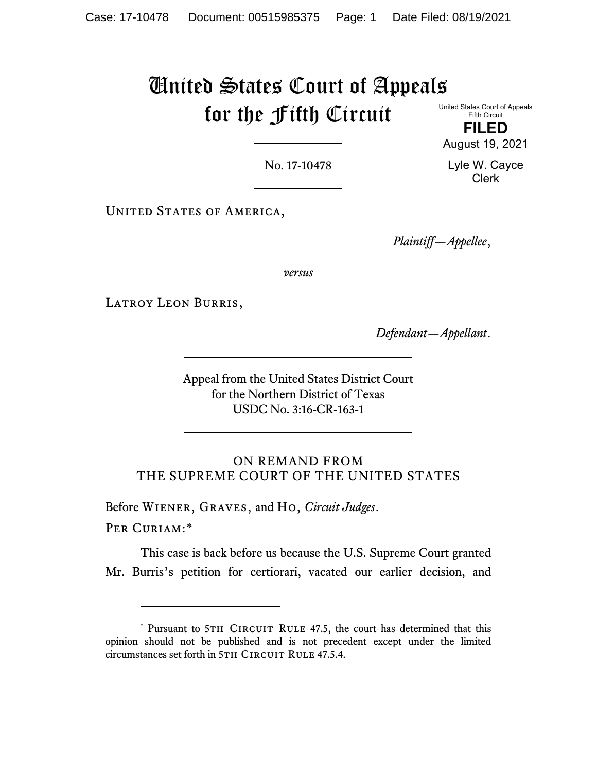## United States Court of Appeals for the Fifth Circuit

United States Court of Appeals Fifth Circuit

**FILED** August 19, 2021

Lyle W. Cayce Clerk

No. 17-10478

UNITED STATES OF AMERICA,

*Plaintiff—Appellee*,

*versus*

LATROY LEON BURRIS,

*Defendant—Appellant*.

Appeal from the United States District Court for the Northern District of Texas USDC No. 3:16-CR-163-1

ON REMAND FROM THE SUPREME COURT OF THE UNITED STATES

Before Wiener, Graves, and Ho, *Circuit Judges*.

Per Curiam:[\\*](#page-0-0)

This case is back before us because the U.S. Supreme Court granted Mr. Burris's petition for certiorari, vacated our earlier decision, and

<span id="page-0-0"></span><sup>\*</sup> Pursuant to 5TH CIRCUIT RULE 47.5, the court has determined that this opinion should not be published and is not precedent except under the limited circumstances set forth in 5TH CIRCUIT RULE 47.5.4.